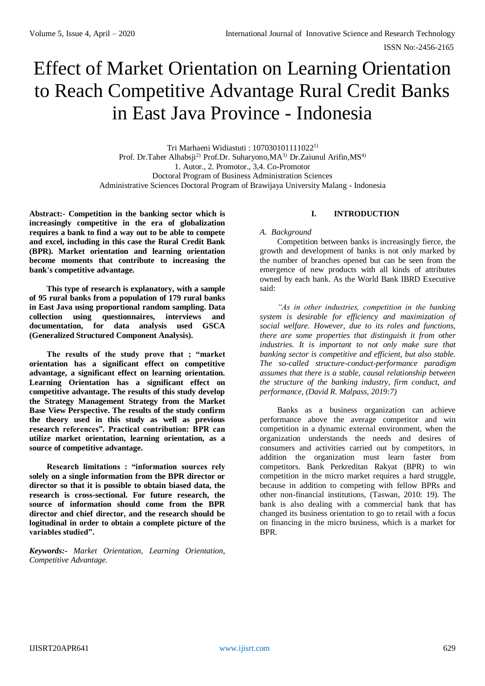# Effect of Market Orientation on Learning Orientation to Reach Competitive Advantage Rural Credit Banks in East Java Province - Indonesia

Tri Marhaeni Widiastuti : 1070301011110221) Prof. Dr.Taher Alhabsji<sup>2)</sup> Prof.Dr. Suharyono, MA<sup>3)</sup> Dr.Zaiunul Arifin, MS<sup>4)</sup> 1. Autor., 2. Promotor., 3,4. Co-Promotor Doctoral Program of Business Administration Sciences Administrative Sciences Doctoral Program of Brawijaya University Malang - Indonesia

**Abstract:- Competition in the banking sector which is increasingly competitive in the era of globalization requires a bank to find a way out to be able to compete and excel, including in this case the Rural Credit Bank (BPR). Market orientation and learning orientation become moments that contribute to increasing the bank's competitive advantage.**

**This type of research is explanatory, with a sample of 95 rural banks from a population of 179 rural banks in East Java using proportional random sampling. Data collection using questionnaires, interviews and documentation, for data analysis used GSCA (Generalized Structured Component Analysis).**

**The results of the study prove that ; "market orientation has a significant effect on competitive advantage, a significant effect on learning orientation. Learning Orientation has a significant effect on competitive advantage. The results of this study develop the Strategy Management Strategy from the Market Base View Perspective. The results of the study confirm the theory used in this study as well as previous research references". Practical contribution: BPR can utilize market orientation, learning orientation, as a source of competitive advantage.**

**Research limitations : "information sources rely solely on a single information from the BPR director or director so that it is possible to obtain biased data, the research is cross-sectional. For future research, the source of information should come from the BPR director and chief director, and the research should be logitudinal in order to obtain a complete picture of the variables studied".**

*Keywords:- Market Orientation, Learning Orientation, Competitive Advantage.*

## **I. INTRODUCTION**

*A. Background* 

Competition between banks is increasingly fierce, the growth and development of banks is not only marked by the number of branches opened but can be seen from the emergence of new products with all kinds of attributes owned by each bank. As the World Bank IBRD Executive said:

*"As in other industries, competition in the banking system is desirable for efficiency and maximization of social welfare. However, due to its roles and functions, there are some properties that distinguish it from other industries. It is important to not only make sure that banking sector is competitive and efficient, but also stable. The so-called structure-conduct-performance paradigm assumes that there is a stable, causal relationship between the structure of the banking industry, firm conduct, and performance, (David R. Malpass, 2019:7)*

Banks as a business organization can achieve performance above the average competitor and win competition in a dynamic external environment, when the organization understands the needs and desires of consumers and activities carried out by competitors, in addition the organization must learn faster from competitors. Bank Perkreditan Rakyat (BPR) to win competition in the micro market requires a hard struggle, because in addition to competing with fellow BPRs and other non-financial institutions, (Taswan, 2010: 19). The bank is also dealing with a commercial bank that has changed its business orientation to go to retail with a focus on financing in the micro business, which is a market for BPR.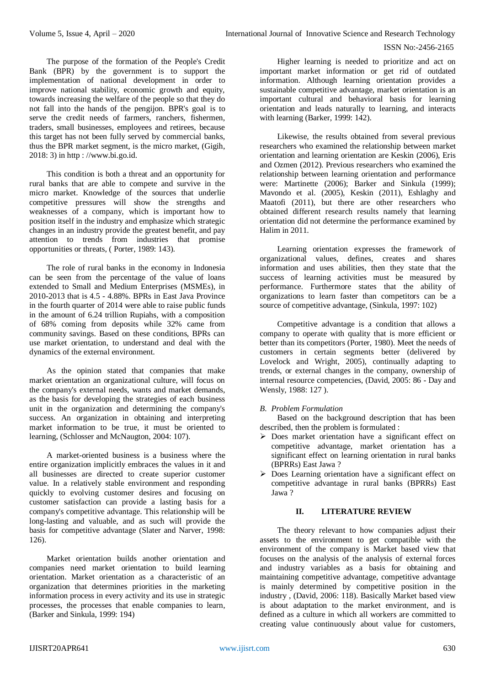The purpose of the formation of the People's Credit Bank (BPR) by the government is to support the implementation of national development in order to improve national stability, economic growth and equity, towards increasing the welfare of the people so that they do not fall into the hands of the pengijon. BPR's goal is to serve the credit needs of farmers, ranchers, fishermen, traders, small businesses, employees and retirees, because this target has not been fully served by commercial banks, thus the BPR market segment, is the micro market, (Gigih, 2018: 3) in http : //www.bi.go.id.

This condition is both a threat and an opportunity for rural banks that are able to compete and survive in the micro market. Knowledge of the sources that underlie competitive pressures will show the strengths and weaknesses of a company, which is important how to position itself in the industry and emphasize which strategic changes in an industry provide the greatest benefit, and pay attention to trends from industries that promise opportunities or threats, ( Porter, 1989: 143).

The role of rural banks in the economy in Indonesia can be seen from the percentage of the value of loans extended to Small and Medium Enterprises (MSMEs), in 2010-2013 that is 4.5 - 4.88%. BPRs in East Java Province in the fourth quarter of 2014 were able to raise public funds in the amount of 6.24 trillion Rupiahs, with a composition of 68% coming from deposits while 32% came from community savings. Based on these conditions, BPRs can use market orientation, to understand and deal with the dynamics of the external environment.

As the opinion stated that companies that make market orientation an organizational culture, will focus on the company's external needs, wants and market demands, as the basis for developing the strategies of each business unit in the organization and determining the company's success. An organization in obtaining and interpreting market information to be true, it must be oriented to learning, (Schlosser and McNaugton, 2004: 107).

A market-oriented business is a business where the entire organization implicitly embraces the values in it and all businesses are directed to create superior customer value. In a relatively stable environment and responding quickly to evolving customer desires and focusing on customer satisfaction can provide a lasting basis for a company's competitive advantage. This relationship will be long-lasting and valuable, and as such will provide the basis for competitive advantage (Slater and Narver, 1998: 126).

Market orientation builds another orientation and companies need market orientation to build learning orientation. Market orientation as a characteristic of an organization that determines priorities in the marketing information process in every activity and its use in strategic processes, the processes that enable companies to learn, (Barker and Sinkula, 1999: 194)

Higher learning is needed to prioritize and act on important market information or get rid of outdated information. Although learning orientation provides a sustainable competitive advantage, market orientation is an important cultural and behavioral basis for learning orientation and leads naturally to learning, and interacts with learning (Barker, 1999: 142).

Likewise, the results obtained from several previous researchers who examined the relationship between market orientation and learning orientation are Keskin (2006), Eris and Ozmen (2012). Previous researchers who examined the relationship between learning orientation and performance were: Martinette (2006); Barker and Sinkula (1999); Mavondo et al. (2005), Keskin (2011), Eshlaghy and Maatofi (2011), but there are other researchers who obtained different research results namely that learning orientation did not determine the performance examined by Halim in 2011.

Learning orientation expresses the framework of organizational values, defines, creates and shares information and uses abilities, then they state that the success of learning activities must be measured by performance. Furthermore states that the ability of organizations to learn faster than competitors can be a source of competitive advantage, (Sinkula, 1997: 102)

Competitive advantage is a condition that allows a company to operate with quality that is more efficient or better than its competitors (Porter, 1980). Meet the needs of customers in certain segments better (delivered by Lovelock and Wright, 2005), continually adapting to trends, or external changes in the company, ownership of internal resource competencies, (David, 2005: 86 - Day and Wensly, 1988: 127 ).

# *B. Problem Formulation*

Based on the background description that has been described, then the problem is formulated :

- Does market orientation have a significant effect on competitive advantage, market orientation has a significant effect on learning orientation in rural banks (BPRRs) East Jawa ?
- Does Learning orientation have a significant effect on competitive advantage in rural banks (BPRRs) East Jawa ?

# **II. LITERATURE REVIEW**

The theory relevant to how companies adjust their assets to the environment to get compatible with the environment of the company is Market based view that focuses on the analysis of the analysis of external forces and industry variables as a basis for obtaining and maintaining competitive advantage, competitive advantage is mainly determined by competitive position in the industry , (David, 2006: 118). Basically Market based view is about adaptation to the market environment, and is defined as a culture in which all workers are committed to creating value continuously about value for customers,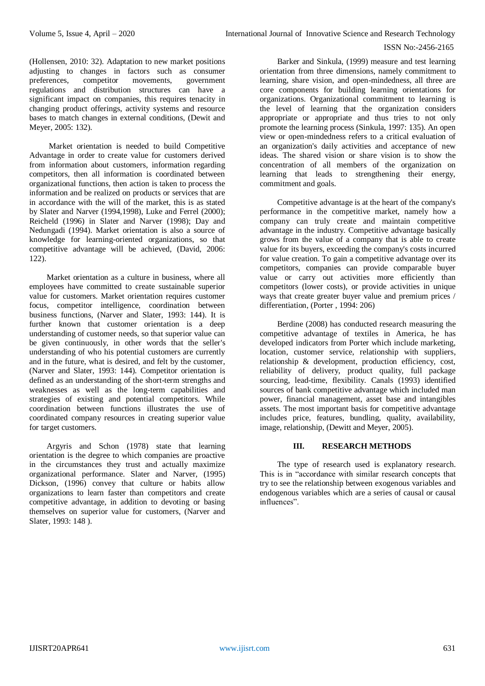(Hollensen, 2010: 32). Adaptation to new market positions adjusting to changes in factors such as consumer preferences, competitor movements, government regulations and distribution structures can have a significant impact on companies, this requires tenacity in changing product offerings, activity systems and resource bases to match changes in external conditions, (Dewit and Meyer, 2005: 132).

Market orientation is needed to build Competitive Advantage in order to create value for customers derived from information about customers, information regarding competitors, then all information is coordinated between organizational functions, then action is taken to process the information and be realized on products or services that are in accordance with the will of the market, this is as stated by Slater and Narver (1994,1998), Luke and Ferrel (2000); Reicheld (1996) in Slater and Narver (1998); Day and Nedungadi (1994). Market orientation is also a source of knowledge for learning-oriented organizations, so that competitive advantage will be achieved, (David, 2006: 122).

Market orientation as a culture in business, where all employees have committed to create sustainable superior value for customers. Market orientation requires customer focus, competitor intelligence, coordination between business functions, (Narver and Slater, 1993: 144). It is further known that customer orientation is a deep understanding of customer needs, so that superior value can be given continuously, in other words that the seller's understanding of who his potential customers are currently and in the future, what is desired, and felt by the customer, (Narver and Slater, 1993: 144). Competitor orientation is defined as an understanding of the short-term strengths and weaknesses as well as the long-term capabilities and strategies of existing and potential competitors. While coordination between functions illustrates the use of coordinated company resources in creating superior value for target customers.

Argyris and Schon (1978) state that learning orientation is the degree to which companies are proactive in the circumstances they trust and actually maximize organizational performance. Slater and Narver, (1995) Dickson, (1996) convey that culture or habits allow organizations to learn faster than competitors and create competitive advantage, in addition to devoting or basing themselves on superior value for customers, (Narver and Slater, 1993: 148 ).

Barker and Sinkula, (1999) measure and test learning orientation from three dimensions, namely commitment to learning, share vision, and open-mindedness, all three are core components for building learning orientations for organizations. Organizational commitment to learning is the level of learning that the organization considers appropriate or appropriate and thus tries to not only promote the learning process (Sinkula, 1997: 135). An open view or open-mindedness refers to a critical evaluation of an organization's daily activities and acceptance of new ideas. The shared vision or share vision is to show the concentration of all members of the organization on learning that leads to strengthening their energy, commitment and goals.

Competitive advantage is at the heart of the company's performance in the competitive market, namely how a company can truly create and maintain competitive advantage in the industry. Competitive advantage basically grows from the value of a company that is able to create value for its buyers, exceeding the company's costs incurred for value creation. To gain a competitive advantage over its competitors, companies can provide comparable buyer value or carry out activities more efficiently than competitors (lower costs), or provide activities in unique ways that create greater buyer value and premium prices / differentiation, (Porter , 1994: 206)

Berdine (2008) has conducted research measuring the competitive advantage of textiles in America, he has developed indicators from Porter which include marketing, location, customer service, relationship with suppliers, relationship & development, production efficiency, cost, reliability of delivery, product quality, full package sourcing, lead-time, flexibility. Canals (1993) identified sources of bank competitive advantage which included man power, financial management, asset base and intangibles assets. The most important basis for competitive advantage includes price, features, bundling, quality, availability, image, relationship, (Dewitt and Meyer, 2005).

## **III. RESEARCH METHODS**

The type of research used is explanatory research. This is in "accordance with similar research concepts that try to see the relationship between exogenous variables and endogenous variables which are a series of causal or causal influences".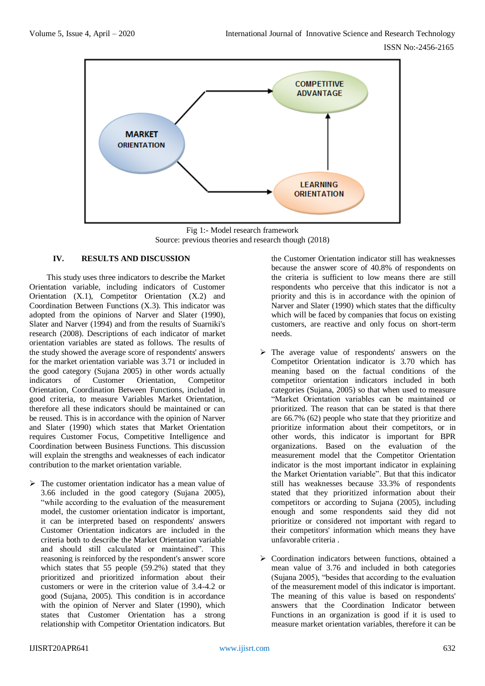

Fig 1:- Model research framework Source: previous theories and research though (2018)

# **IV. RESULTS AND DISCUSSION**

This study uses three indicators to describe the Market Orientation variable, including indicators of Customer Orientation (X.1), Competitor Orientation (X.2) and Coordination Between Functions (X.3). This indicator was adopted from the opinions of Narver and Slater (1990), Slater and Narver (1994) and from the results of Suarniki's research (2008). Descriptions of each indicator of market orientation variables are stated as follows. The results of the study showed the average score of respondents' answers for the market orientation variable was 3.71 or included in the good category (Sujana 2005) in other words actually indicators of Customer Orientation, Competitor Orientation, Coordination Between Functions, included in good criteria, to measure Variables Market Orientation, therefore all these indicators should be maintained or can be reused. This is in accordance with the opinion of Narver and Slater (1990) which states that Market Orientation requires Customer Focus, Competitive Intelligence and Coordination between Business Functions. This discussion will explain the strengths and weaknesses of each indicator contribution to the market orientation variable.

 $\triangleright$  The customer orientation indicator has a mean value of 3.66 included in the good category (Sujana 2005), "while according to the evaluation of the measurement model, the customer orientation indicator is important, it can be interpreted based on respondents' answers Customer Orientation indicators are included in the criteria both to describe the Market Orientation variable and should still calculated or maintained". This reasoning is reinforced by the respondent's answer score which states that 55 people (59.2%) stated that they prioritized and prioritized information about their customers or were in the criterion value of 3.4-4.2 or good (Sujana, 2005). This condition is in accordance with the opinion of Nerver and Slater (1990), which states that Customer Orientation has a strong relationship with Competitor Orientation indicators. But the Customer Orientation indicator still has weaknesses because the answer score of 40.8% of respondents on the criteria is sufficient to low means there are still respondents who perceive that this indicator is not a priority and this is in accordance with the opinion of Narver and Slater (1990) which states that the difficulty which will be faced by companies that focus on existing customers, are reactive and only focus on short-term needs.

- The average value of respondents' answers on the Competitor Orientation indicator is 3.70 which has meaning based on the factual conditions of the competitor orientation indicators included in both categories (Sujana, 2005) so that when used to measure "Market Orientation variables can be maintained or prioritized. The reason that can be stated is that there are 66.7% (62) people who state that they prioritize and prioritize information about their competitors, or in other words, this indicator is important for BPR organizations. Based on the evaluation of the measurement model that the Competitor Orientation indicator is the most important indicator in explaining the Market Orientation variable". But that this indicator still has weaknesses because 33.3% of respondents stated that they prioritized information about their competitors or according to Sujana (2005), including enough and some respondents said they did not prioritize or considered not important with regard to their competitors' information which means they have unfavorable criteria .
- $\triangleright$  Coordination indicators between functions, obtained a mean value of 3.76 and included in both categories (Sujana 2005), "besides that according to the evaluation of the measurement model of this indicator is important. The meaning of this value is based on respondents' answers that the Coordination Indicator between Functions in an organization is good if it is used to measure market orientation variables, therefore it can be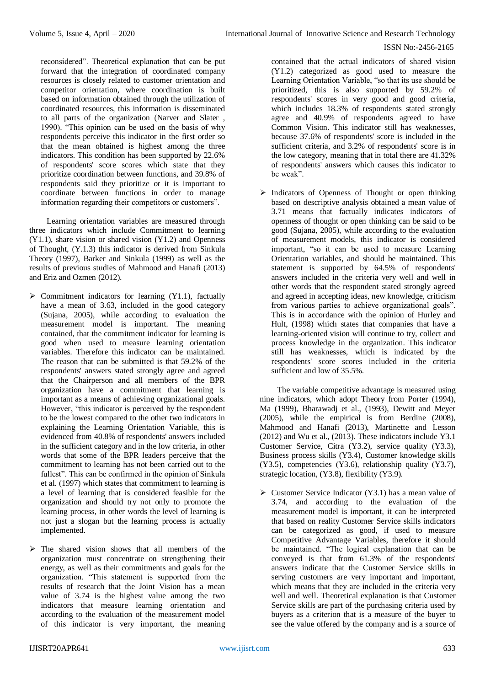reconsidered". Theoretical explanation that can be put forward that the integration of coordinated company resources is closely related to customer orientation and competitor orientation, where coordination is built based on information obtained through the utilization of coordinated resources, this information is disseminated to all parts of the organization (Narver and Slater , 1990). "This opinion can be used on the basis of why respondents perceive this indicator in the first order so that the mean obtained is highest among the three indicators. This condition has been supported by 22.6% of respondents' score scores which state that they prioritize coordination between functions, and 39.8% of respondents said they prioritize or it is important to coordinate between functions in order to manage information regarding their competitors or customers".

Learning orientation variables are measured through three indicators which include Commitment to learning (Y1.1), share vision or shared vision (Y1.2) and Openness of Thought, (Y.1.3) this indicator is derived from Sinkula Theory (1997), Barker and Sinkula (1999) as well as the results of previous studies of Mahmood and Hanafi (2013) and Eriz and Ozmen (2012).

- $\triangleright$  Commitment indicators for learning (Y1.1), factually have a mean of 3.63, included in the good category (Sujana, 2005), while according to evaluation the measurement model is important. The meaning contained, that the commitment indicator for learning is good when used to measure learning orientation variables. Therefore this indicator can be maintained. The reason that can be submitted is that 59.2% of the respondents' answers stated strongly agree and agreed that the Chairperson and all members of the BPR organization have a commitment that learning is important as a means of achieving organizational goals. However, "this indicator is perceived by the respondent to be the lowest compared to the other two indicators in explaining the Learning Orientation Variable, this is evidenced from 40.8% of respondents' answers included in the sufficient category and in the low criteria, in other words that some of the BPR leaders perceive that the commitment to learning has not been carried out to the fullest". This can be confirmed in the opinion of Sinkula et al. (1997) which states that commitment to learning is a level of learning that is considered feasible for the organization and should try not only to promote the learning process, in other words the level of learning is not just a slogan but the learning process is actually implemented.
- $\triangleright$  The shared vision shows that all members of the organization must concentrate on strengthening their energy, as well as their commitments and goals for the organization. "This statement is supported from the results of research that the Joint Vision has a mean value of 3.74 is the highest value among the two indicators that measure learning orientation and according to the evaluation of the measurement model of this indicator is very important, the meaning

contained that the actual indicators of shared vision (Y1.2) categorized as good used to measure the Learning Orientation Variable, "so that its use should be prioritized, this is also supported by 59.2% of respondents' scores in very good and good criteria, which includes 18.3% of respondents stated strongly agree and 40.9% of respondents agreed to have Common Vision. This indicator still has weaknesses, because 37.6% of respondents' score is included in the sufficient criteria, and 3.2% of respondents' score is in the low category, meaning that in total there are 41.32% of respondents' answers which causes this indicator to be weak".

 $\triangleright$  Indicators of Openness of Thought or open thinking based on descriptive analysis obtained a mean value of 3.71 means that factually indicates indicators of openness of thought or open thinking can be said to be good (Sujana, 2005), while according to the evaluation of measurement models, this indicator is considered important, "so it can be used to measure Learning Orientation variables, and should be maintained. This statement is supported by 64.5% of respondents' answers included in the criteria very well and well in other words that the respondent stated strongly agreed and agreed in accepting ideas, new knowledge, criticism from various parties to achieve organizational goals". This is in accordance with the opinion of Hurley and Hult, (1998) which states that companies that have a learning-oriented vision will continue to try, collect and process knowledge in the organization. This indicator still has weaknesses, which is indicated by the respondents' score scores included in the criteria sufficient and low of 35.5%.

The variable competitive advantage is measured using nine indicators, which adopt Theory from Porter (1994), Ma (1999), Bharawadj et al., (1993), Dewitt and Meyer (2005), while the empirical is from Berdine (2008), Mahmood and Hanafi (2013), Martinette and Lesson (2012) and Wu et al., (2013). These indicators include Y3.1 Customer Service, Citra (Y3.2), service quality (Y3.3), Business process skills (Y3.4), Customer knowledge skills (Y3.5), competencies (Y3.6), relationship quality (Y3.7), strategic location, (Y3.8), flexibility (Y3.9).

 $\triangleright$  Customer Service Indicator (Y3.1) has a mean value of 3.74, and according to the evaluation of the measurement model is important, it can be interpreted that based on reality Customer Service skills indicators can be categorized as good, if used to measure Competitive Advantage Variables, therefore it should be maintained. "The logical explanation that can be conveyed is that from 61.3% of the respondents' answers indicate that the Customer Service skills in serving customers are very important and important, which means that they are included in the criteria very well and well. Theoretical explanation is that Customer Service skills are part of the purchasing criteria used by buyers as a criterion that is a measure of the buyer to see the value offered by the company and is a source of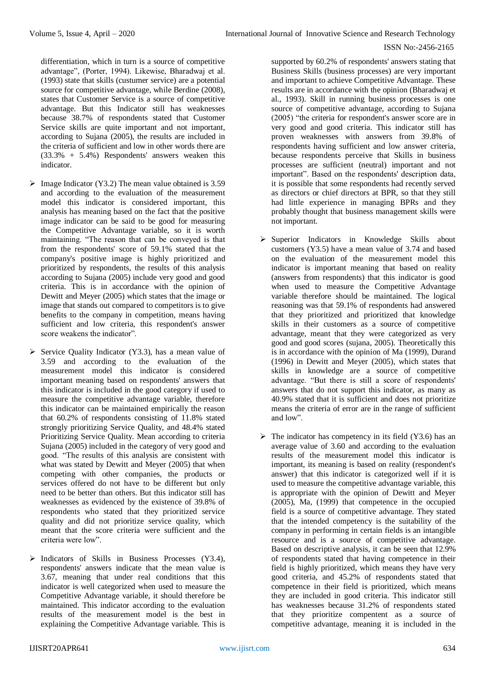differentiation, which in turn is a source of competitive advantage", (Porter, 1994). Likewise, Bharadwaj et al. (1993) state that skills (custumer service) are a potential source for competitive advantage, while Berdine (2008), states that Customer Service is a source of competitive advantage. But this Indicator still has weaknesses because 38.7% of respondents stated that Customer Service skills are quite important and not important, according to Sujana (2005), the results are included in the criteria of sufficient and low in other words there are (33.3% + 5.4%) Respondents' answers weaken this indicator.

- $\triangleright$  Image Indicator (Y3.2) The mean value obtained is 3.59 and according to the evaluation of the measurement model this indicator is considered important, this analysis has meaning based on the fact that the positive image indicator can be said to be good for measuring the Competitive Advantage variable, so it is worth maintaining. "The reason that can be conveyed is that from the respondents' score of 59.1% stated that the company's positive image is highly prioritized and prioritized by respondents, the results of this analysis according to Sujana (2005) include very good and good criteria. This is in accordance with the opinion of Dewitt and Meyer (2005) which states that the image or image that stands out compared to competitors is to give benefits to the company in competition, means having sufficient and low criteria, this respondent's answer score weakens the indicator".
- $\triangleright$  Service Quality Indicator (Y3.3), has a mean value of 3.59 and according to the evaluation of the measurement model this indicator is considered important meaning based on respondents' answers that this indicator is included in the good category if used to measure the competitive advantage variable, therefore this indicator can be maintained empirically the reason that 60.2% of respondents consisting of 11.8% stated strongly prioritizing Service Quality, and 48.4% stated Prioritizing Service Quality. Mean according to criteria Sujana (2005) included in the category of very good and good. "The results of this analysis are consistent with what was stated by Dewitt and Meyer (2005) that when competing with other companies, the products or services offered do not have to be different but only need to be better than others. But this indicator still has weaknesses as evidenced by the existence of 39.8% of respondents who stated that they prioritized service quality and did not prioritize service quality, which meant that the score criteria were sufficient and the criteria were low".
- $\triangleright$  Indicators of Skills in Business Processes (Y3.4), respondents' answers indicate that the mean value is 3.67, meaning that under real conditions that this indicator is well categorized when used to measure the Competitive Advantage variable, it should therefore be maintained. This indicator according to the evaluation results of the measurement model is the best in explaining the Competitive Advantage variable. This is

supported by 60.2% of respondents' answers stating that Business Skills (business processes) are very important and important to achieve Competitive Advantage. These results are in accordance with the opinion (Bharadwaj et al., 1993). Skill in running business processes is one source of competitive advantage, according to Sujana (2005) "the criteria for respondent's answer score are in very good and good criteria. This indicator still has proven weaknesses with answers from 39.8% of respondents having sufficient and low answer criteria, because respondents perceive that Skills in business processes are sufficient (neutral) important and not important". Based on the respondents' description data, it is possible that some respondents had recently served as directors or chief directors at BPR, so that they still had little experience in managing BPRs and they probably thought that business management skills were not important.

- $\triangleright$  Superior Indicators in Knowledge Skills about customers (Y3.5) have a mean value of 3.74 and based on the evaluation of the measurement model this indicator is important meaning that based on reality (answers from respondents) that this indicator is good when used to measure the Competitive Advantage variable therefore should be maintained. The logical reasoning was that 59.1% of respondents had answered that they prioritized and prioritized that knowledge skills in their customers as a source of competitive advantage, meant that they were categorized as very good and good scores (sujana, 2005). Theoretically this is in accordance with the opinion of Ma (1999), Durand (1996) in Dewitt and Meyer (2005), which states that skills in knowledge are a source of competitive advantage. "But there is still a score of respondents' answers that do not support this indicator, as many as 40.9% stated that it is sufficient and does not prioritize means the criteria of error are in the range of sufficient and low".
- $\triangleright$  The indicator has competency in its field (Y3.6) has an average value of 3.60 and according to the evaluation results of the measurement model this indicator is important, its meaning is based on reality (respondent's answer) that this indicator is categorized well if it is used to measure the competitive advantage variable, this is appropriate with the opinion of Dewitt and Meyer (2005), Ma, (1999) that competence in the occupied field is a source of competitive advantage. They stated that the intended competency is the suitability of the company in performing in certain fields is an intangible resource and is a source of competitive advantage. Based on descriptive analysis, it can be seen that 12.9% of respondents stated that having competence in their field is highly prioritized, which means they have very good criteria, and 45.2% of respondents stated that competence in their field is prioritized, which means they are included in good criteria. This indicator still has weaknesses because 31.2% of respondents stated that they prioritize compentent as a source of competitive advantage, meaning it is included in the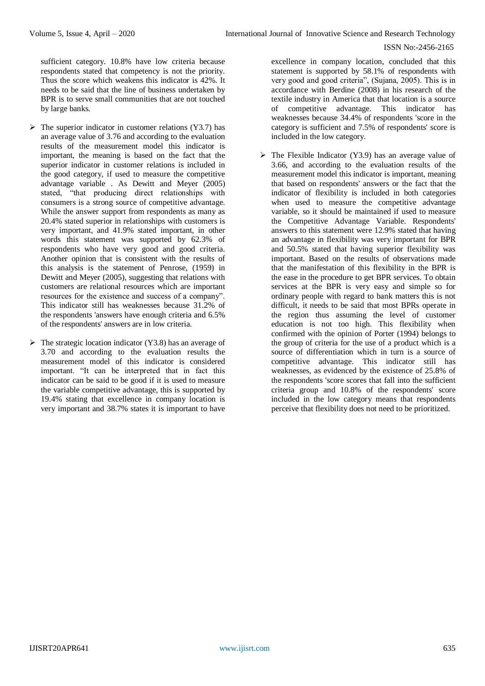sufficient category. 10.8% have low criteria because respondents stated that competency is not the priority. Thus the score which weakens this indicator is 42%. It needs to be said that the line of business undertaken by BPR is to serve small communities that are not touched by large banks.

- $\triangleright$  The superior indicator in customer relations (Y3.7) has an average value of 3.76 and according to the evaluation results of the measurement model this indicator is important, the meaning is based on the fact that the superior indicator in customer relations is included in the good category, if used to measure the competitive advantage variable . As Dewitt and Meyer (2005) stated, "that producing direct relationships with consumers is a strong source of competitive advantage. While the answer support from respondents as many as 20.4% stated superior in relationships with customers is very important, and 41.9% stated important, in other words this statement was supported by 62.3% of respondents who have very good and good criteria. Another opinion that is consistent with the results of this analysis is the statement of Penrose, (1959) in Dewitt and Meyer (2005), suggesting that relations with customers are relational resources which are important resources for the existence and success of a company". This indicator still has weaknesses because 31.2% of the respondents 'answers have enough criteria and 6.5% of the respondents' answers are in low criteria.
- $\triangleright$  The strategic location indicator (Y3.8) has an average of 3.70 and according to the evaluation results the measurement model of this indicator is considered important. "It can be interpreted that in fact this indicator can be said to be good if it is used to measure the variable competitive advantage, this is supported by 19.4% stating that excellence in company location is very important and 38.7% states it is important to have

excellence in company location, concluded that this statement is supported by 58.1% of respondents with very good and good criteria", (Sujana, 2005). This is in accordance with Berdine (2008) in his research of the textile industry in America that that location is a source of competitive advantage. This indicator has weaknesses because 34.4% of respondents 'score in the category is sufficient and 7.5% of respondents' score is included in the low category.

 $\triangleright$  The Flexible Indicator (Y3.9) has an average value of 3.66, and according to the evaluation results of the measurement model this indicator is important, meaning that based on respondents' answers or the fact that the indicator of flexibility is included in both categories when used to measure the competitive advantage variable, so it should be maintained if used to measure the Competitive Advantage Variable. Respondents' answers to this statement were 12.9% stated that having an advantage in flexibility was very important for BPR and 50.5% stated that having superior flexibility was important. Based on the results of observations made that the manifestation of this flexibility in the BPR is the ease in the procedure to get BPR services. To obtain services at the BPR is very easy and simple so for ordinary people with regard to bank matters this is not difficult, it needs to be said that most BPRs operate in the region thus assuming the level of customer education is not too high. This flexibility when confirmed with the opinion of Porter (1994) belongs to the group of criteria for the use of a product which is a source of differentiation which in turn is a source of competitive advantage. This indicator still has weaknesses, as evidenced by the existence of 25.8% of the respondents 'score scores that fall into the sufficient criteria group and 10.8% of the respondents' score included in the low category means that respondents perceive that flexibility does not need to be prioritized.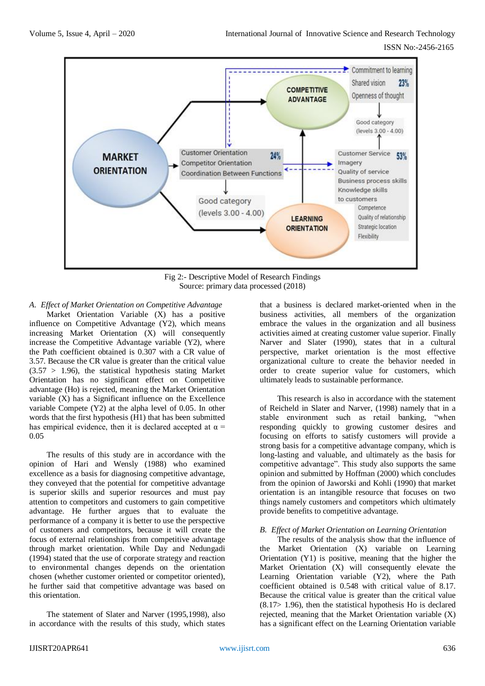

Fig 2:- Descriptive Model of Research Findings Source: primary data processed (2018)

*A. Effect of Market Orientation on Competitive Advantage* Market Orientation Variable (X) has a positive influence on Competitive Advantage (Y2), which means increasing Market Orientation (X) will consequently increase the Competitive Advantage variable (Y2), where the Path coefficient obtained is 0.307 with a CR value of 3.57. Because the CR value is greater than the critical value  $(3.57 > 1.96)$ , the statistical hypothesis stating Market Orientation has no significant effect on Competitive advantage (Ho) is rejected, meaning the Market Orientation variable (X) has a Significant influence on the Excellence variable Compete (Y2) at the alpha level of 0.05. In other words that the first hypothesis (H1) that has been submitted has empirical evidence, then it is declared accepted at  $\alpha$  = 0.05

The results of this study are in accordance with the opinion of Hari and Wensly (1988) who examined excellence as a basis for diagnosing competitive advantage, they conveyed that the potential for competitive advantage is superior skills and superior resources and must pay attention to competitors and customers to gain competitive advantage. He further argues that to evaluate the performance of a company it is better to use the perspective of customers and competitors, because it will create the focus of external relationships from competitive advantage through market orientation. While Day and Nedungadi (1994) stated that the use of corporate strategy and reaction to environmental changes depends on the orientation chosen (whether customer oriented or competitor oriented), he further said that competitive advantage was based on this orientation.

The statement of Slater and Narver (1995,1998), also in accordance with the results of this study, which states

that a business is declared market-oriented when in the business activities, all members of the organization embrace the values in the organization and all business activities aimed at creating customer value superior. Finally Narver and Slater (1990), states that in a cultural perspective, market orientation is the most effective organizational culture to create the behavior needed in order to create superior value for customers, which ultimately leads to sustainable performance.

This research is also in accordance with the statement of Reicheld in Slater and Narver, (1998) namely that in a stable environment such as retail banking, "when responding quickly to growing customer desires and focusing on efforts to satisfy customers will provide a strong basis for a competitive advantage company, which is long-lasting and valuable, and ultimately as the basis for competitive advantage". This study also supports the same opinion and submitted by Hoffman (2000) which concludes from the opinion of Jaworski and Kohli (1990) that market orientation is an intangible resource that focuses on two things namely customers and competitors which ultimately provide benefits to competitive advantage.

## *B. Effect of Market Orientation on Learning Orientation*

The results of the analysis show that the influence of the Market Orientation (X) variable on Learning Orientation (Y1) is positive, meaning that the higher the Market Orientation (X) will consequently elevate the Learning Orientation variable (Y2), where the Path coefficient obtained is 0.548 with critical value of 8.17. Because the critical value is greater than the critical value (8.17> 1.96), then the statistical hypothesis Ho is declared rejected, meaning that the Market Orientation variable (X) has a significant effect on the Learning Orientation variable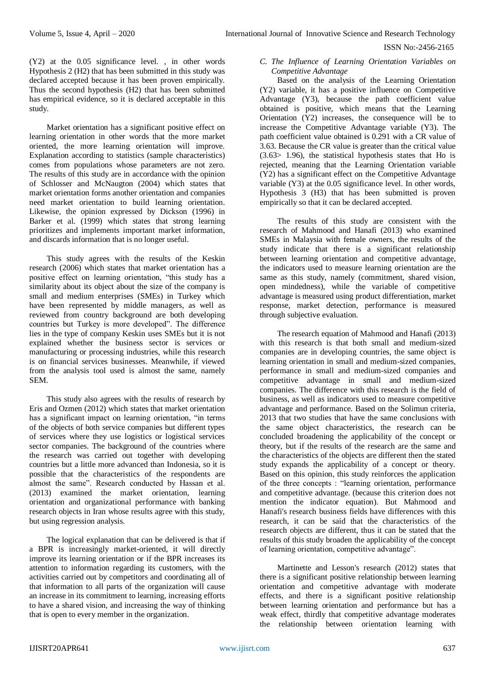(Y2) at the 0.05 significance level. , in other words Hypothesis 2 (H2) that has been submitted in this study was declared accepted because it has been proven empirically. Thus the second hypothesis (H2) that has been submitted has empirical evidence, so it is declared acceptable in this study.

Market orientation has a significant positive effect on learning orientation in other words that the more market oriented, the more learning orientation will improve. Explanation according to statistics (sample characteristics) comes from populations whose parameters are not zero. The results of this study are in accordance with the opinion of Schlosser and McNaugton (2004) which states that market orientation forms another orientation and companies need market orientation to build learning orientation. Likewise, the opinion expressed by Dickson (1996) in Barker et al. (1999) which states that strong learning prioritizes and implements important market information, and discards information that is no longer useful.

This study agrees with the results of the Keskin research (2006) which states that market orientation has a positive effect on learning orientation, "this study has a similarity about its object about the size of the company is small and medium enterprises (SMEs) in Turkey which have been represented by middle managers, as well as reviewed from country background are both developing countries but Turkey is more developed". The difference lies in the type of company Keskin uses SMEs but it is not explained whether the business sector is services or manufacturing or processing industries, while this research is on financial services businesses. Meanwhile, if viewed from the analysis tool used is almost the same, namely SEM.

This study also agrees with the results of research by Eris and Ozmen (2012) which states that market orientation has a significant impact on learning orientation, "in terms of the objects of both service companies but different types of services where they use logistics or logistical services sector companies. The background of the countries where the research was carried out together with developing countries but a little more advanced than Indonesia, so it is possible that the characteristics of the respondents are almost the same". Research conducted by Hassan et al. (2013) examined the market orientation, learning orientation and organizational performance with banking research objects in Iran whose results agree with this study, but using regression analysis.

The logical explanation that can be delivered is that if a BPR is increasingly market-oriented, it will directly improve its learning orientation or if the BPR increases its attention to information regarding its customers, with the activities carried out by competitors and coordinating all of that information to all parts of the organization will cause an increase in its commitment to learning, increasing efforts to have a shared vision, and increasing the way of thinking that is open to every member in the organization.

*C. The Influence of Learning Orientation Variables on Competitive Advantage*

Based on the analysis of the Learning Orientation (Y2) variable, it has a positive influence on Competitive Advantage (Y3), because the path coefficient value obtained is positive, which means that the Learning Orientation (Y2) increases, the consequence will be to increase the Competitive Advantage variable (Y3). The path coefficient value obtained is 0.291 with a CR value of 3.63. Because the CR value is greater than the critical value (3.63> 1.96), the statistical hypothesis states that Ho is rejected, meaning that the Learning Orientation variable (Y2) has a significant effect on the Competitive Advantage variable (Y3) at the 0.05 significance level. In other words, Hypothesis 3 (H3) that has been submitted is proven empirically so that it can be declared accepted.

The results of this study are consistent with the research of Mahmood and Hanafi (2013) who examined SMEs in Malaysia with female owners, the results of the study indicate that there is a significant relationship between learning orientation and competitive advantage, the indicators used to measure learning orientation are the same as this study, namely (commitment, shared vision, open mindedness), while the variable of competitive advantage is measured using product differentiation, market response, market detection, performance is measured through subjective evaluation.

The research equation of Mahmood and Hanafi (2013) with this research is that both small and medium-sized companies are in developing countries, the same object is learning orientation in small and medium-sized companies, performance in small and medium-sized companies and competitive advantage in small and medium-sized companies. The difference with this research is the field of business, as well as indicators used to measure competitive advantage and performance. Based on the Solimun criteria, 2013 that two studies that have the same conclusions with the same object characteristics, the research can be concluded broadening the applicability of the concept or theory, but if the results of the research are the same and the characteristics of the objects are different then the stated study expands the applicability of a concept or theory. Based on this opinion, this study reinforces the application of the three concepts : "learning orientation, performance and competitive advantage. (because this criterion does not mention the indicator equation). But Mahmood and Hanafi's research business fields have differences with this research, it can be said that the characteristics of the research objects are different, thus it can be stated that the results of this study broaden the applicability of the concept of learning orientation, competitive advantage".

Martinette and Lesson's research (2012) states that there is a significant positive relationship between learning orientation and competitive advantage with moderate effects, and there is a significant positive relationship between learning orientation and performance but has a weak effect, thirdly that competitive advantage moderates the relationship between orientation learning with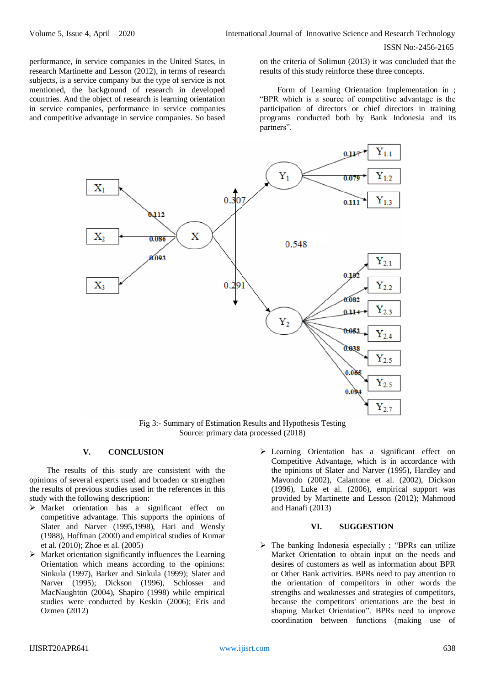performance, in service companies in the United States, in research Martinette and Lesson (2012), in terms of research subjects, is a service company but the type of service is not mentioned, the background of research in developed countries. And the object of research is learning orientation in service companies, performance in service companies and competitive advantage in service companies. So based

on the criteria of Solimun (2013) it was concluded that the results of this study reinforce these three concepts.

Form of Learning Orientation Implementation in ; "BPR which is a source of competitive advantage is the participation of directors or chief directors in training programs conducted both by Bank Indonesia and its partners".



Fig 3:- Summary of Estimation Results and Hypothesis Testing Source: primary data processed (2018)

# **V. CONCLUSION**

The results of this study are consistent with the opinions of several experts used and broaden or strengthen the results of previous studies used in the references in this study with the following description:

- Market orientation has a significant effect on competitive advantage. This supports the opinions of Slater and Narver (1995,1998), Hari and Wensly (1988), Hoffman (2000) and empirical studies of Kumar et al. (2010); Zhoe et al. (2005)
- $\triangleright$  Market orientation significantly influences the Learning Orientation which means according to the opinions: Sinkula (1997), Barker and Sinkula (1999); Slater and Narver (1995); Dickson (1996), Schlosser and MacNaughton (2004), Shapiro (1998) while empirical studies were conducted by Keskin (2006); Eris and Ozmen (2012)
- Learning Orientation has a significant effect on Competitive Advantage, which is in accordance with the opinions of Slater and Narver (1995), Hardley and Mavondo (2002), Calantone et al. (2002), Dickson (1996), Luke et al. (2006), empirical support was provided by Martinette and Lesson (2012); Mahmood and Hanafi (2013)

#### **VI. SUGGESTION**

 $\triangleright$  The banking Indonesia especially ; "BPRs can utilize Market Orientation to obtain input on the needs and desires of customers as well as information about BPR or Other Bank activities. BPRs need to pay attention to the orientation of competitors in other words the strengths and weaknesses and strategies of competitors, because the competitors' orientations are the best in shaping Market Orientation". BPRs need to improve coordination between functions (making use of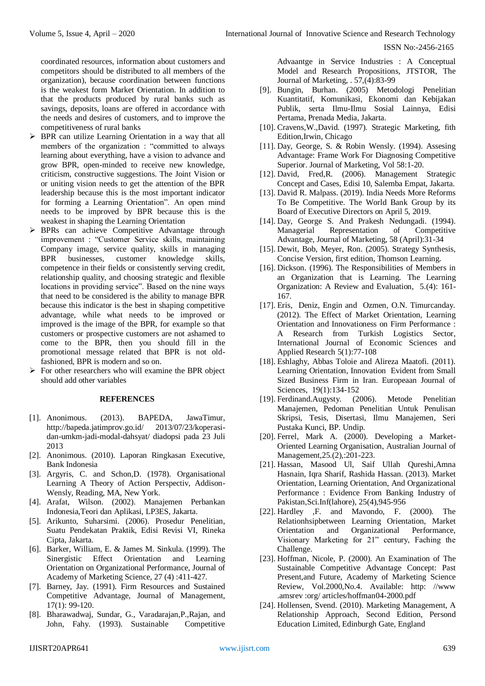coordinated resources, information about customers and competitors should be distributed to all members of the organization), because coordination between functions is the weakest form Market Orientation. In addition to that the products produced by rural banks such as savings, deposits, loans are offered in accordance with the needs and desires of customers, and to improve the competitiveness of rural banks

- $\triangleright$  BPR can utilize Learning Orientation in a way that all members of the organization : "committed to always learning about everything, have a vision to advance and grow BPR, open-minded to receive new knowledge, criticism, constructive suggestions. The Joint Vision or or uniting vision needs to get the attention of the BPR leadership because this is the most important indicator for forming a Learning Orientation". An open mind needs to be improved by BPR because this is the weakest in shaping the Learning Orientation
- > BPRs can achieve Competitive Advantage through improvement : "Customer Service skills, maintaining Company image, service quality, skills in managing BPR businesses, customer knowledge skills, competence in their fields or consistently serving credit, relationship quality, and choosing strategic and flexible locations in providing service". Based on the nine ways that need to be considered is the ability to manage BPR because this indicator is the best in shaping competitive advantage, while what needs to be improved or improved is the image of the BPR, for example so that customers or prospective customers are not ashamed to come to the BPR, then you should fill in the promotional message related that BPR is not oldfashioned, BPR is modern and so on.
- $\triangleright$  For other researchers who will examine the BPR object should add other variables

## **REFERENCES**

- [1]. Anonimous. (2013). BAPEDA, JawaTimur, <http://bapeda.jatimprov.go.id/> 2013/07/23/koperasidan-umkm-jadi-modal-dahsyat/ diadopsi pada 23 Juli 2013
- [2]. Anonimous. (2010). Laporan Ringkasan Executive, Bank Indonesia
- [3]. Argyris, C. and Schon,D. (1978). Organisational Learning A Theory of Action Perspectiv, Addison-Wensly, Reading, MA, New York.
- [4]. Arafat, Wilson. (2002). Manajemen Perbankan Indonesia,Teori dan Aplikasi, LP3ES, Jakarta.
- [5]. Arikunto, Suharsimi. (2006). Prosedur Penelitian, Suatu Pendekatan Praktik, Edisi Revisi VI, Rineka Cipta, Jakarta.
- [6]. Barker, William, E. & James M. Sinkula. (1999). The Sinergistic Effect Orientation and Learning Orientation on Organizational Performance, Journal of Academy of Marketing Science, 27 (4) :411-427.
- [7]. Barney, Jay. (1991). Firm Resources and Sustained Competitive Advantage, Journal of Management,  $17(1)$ : 99-120.
- [8]. Bharawadwaj, Sundar, G., Varadarajan,P.,Rajan, and John, Fahy. (1993). Sustainable Competitive

Advaantge in Service Industries : A Conceptual Model and Research Propositions, JTSTOR, The Journal of Marketing, . 57,(4):83-99

- [9]. Bungin, Burhan. (2005) Metodologi Penelitian Kuantitatif, Komunikasi, Ekonomi dan Kebijakan Publik, serta Ilmu-Ilmu Sosial Lainnya, Edisi Pertama, Prenada Media, Jakarta.
- [10]. Cravens,W.,David. (1997). Strategic Marketing, fith Edition,Irwin, Chicago
- [11]. Day, George, S. & Robin Wensly. (1994). Assesing Advantage: Frame Work For Diagnosing Competitive Superior. Journal of Marketing, Vol 58:1-20.
- [12]. David, Fred,R. (2006). Management Strategic Concept and Cases, Edisi 10, Salemba Empat, Jakarta.
- [13]. David R. Malpass. (2019). India Needs More Reforms To Be Competitive. The World Bank Group by its Board of Executive Directors on April 5, 2019.
- [14]. Day, George S. And Prakesh Nedungadi. (1994). Managerial Representation of Competitive Advantage, Journal of Marketing, 58 (April):31-34
- [15]. Dewit, Bob, Meyer, Ron. (2005). Strategy Synthesis, Concise Version, first edition, Thomson Learning.
- [16]. Dickson. (1996). The Responsibilities of Members in an Organization that is Learning. The Learning Organization: A Review and Evaluation, 5.(4): 161- 167.
- [17]. Eris, Deniz, Engin and Ozmen, O.N. Timurcanday. (2012). The Effect of Market Orientation, Learning Orientation and Innovationess on Firm Performance : A Research from Turkish Logistics Sector, International Journal of Economic Sciences and Applied Research 5(1):77-108
- [18]. Eshlaghy, Abbas Toloie and Alireza Maatofi. (2011). Learning Orientation, Innovation Evident from Small Sized Business Firm in Iran. Europeaan Journal of Sciences, 19(1):134-152
- [19]. Ferdinand.Augysty. (2006). Metode Penelitian Manajemen, Pedoman Penelitian Untuk Penulisan Skripsi, Tesis, Disertasi, Ilmu Manajemen, Seri Pustaka Kunci, BP. Undip.
- [20]. Ferrel, Mark A. (2000). Developing a Market-Oriented Learning Organisation, Australian Journal of Management,25.(2),:201-223.
- [21]. Hassan, Masood Ul, Saif Ullah Qureshi,Amna Hasnain, Iqra Sharif, Rashida Hassan. (2013). Market Orientation, Learning Orientation, And Organizational Performance : Evidence From Banking Industry of Pakistan,Sci.Inf(lahore), 25(4),945-956
- [22]. Hardley ,F. and Mavondo, F. (2000). The Relationhsipbetween Learning Orientation, Market Orientation and Organizational Performance, Visionary Marketing for 21" century, Faching the Challenge.
- [23]. Hoffman, Nicole, P. (2000). An Examination of The Sustainable Competitive Advantage Concept: Past Present,and Future, Academy of Marketing Science Review, Vol.2000,No.4. Available: http: //www .amsrev :org/ articles/hoffman04-2000.pdf
- [24]. Hollensen, Svend. (2010). Marketing Management, A Relationship Approach, Second Edition, Persond Education Limited, Edinburgh Gate, England